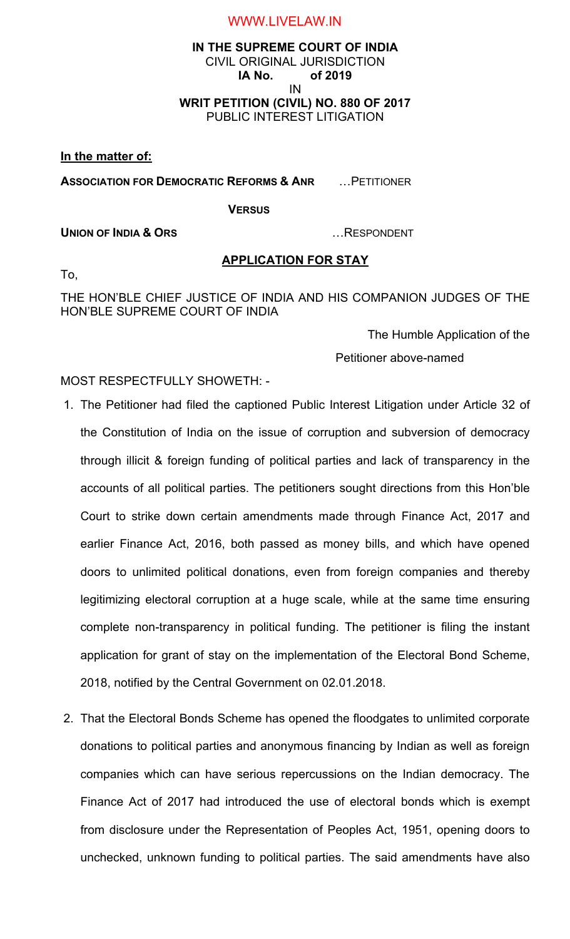## **IN THE SUPREME COURT OF INDIA** CIVIL ORIGINAL JURISDICTION **IA No. of 2019** IN **WRIT PETITION (CIVIL) NO. 880 OF 2017** PUBLIC INTEREST LITIGATION

**In the matter of:**

**ASSOCIATION FOR DEMOCRATIC REFORMS & ANR** …PETITIONER

**VERSUS**

**UNION OF INDIA & ORS** …RESPONDENT

# **APPLICATION FOR STAY**

To,

THE HON'BLE CHIEF JUSTICE OF INDIA AND HIS COMPANION JUDGES OF THE HON'BLE SUPREME COURT OF INDIA

The Humble Application of the

Petitioner above-named

MOST RESPECTFULLY SHOWETH: -

- 1. The Petitioner had filed the captioned Public Interest Litigation under Article 32 of the Constitution of India on the issue of corruption and subversion of democracy through illicit & foreign funding of political parties and lack of transparency in the accounts of all political parties. The petitioners sought directions from this Hon'ble Court to strike down certain amendments made through Finance Act, 2017 and earlier Finance Act, 2016, both passed as money bills, and which have opened doors to unlimited political donations, even from foreign companies and thereby legitimizing electoral corruption at a huge scale, while at the same time ensuring complete non-transparency in political funding. The petitioner is filing the instant application for grant of stay on the implementation of the Electoral Bond Scheme, 2018, notified by the Central Government on 02.01.2018.
- 2. That the Electoral Bonds Scheme has opened the floodgates to unlimited corporate donations to political parties and anonymous financing by Indian as well as foreign companies which can have serious repercussions on the Indian democracy. The Finance Act of 2017 had introduced the use of electoral bonds which is exempt from disclosure under the Representation of Peoples Act, 1951, opening doors to unchecked, unknown funding to political parties. The said amendments have also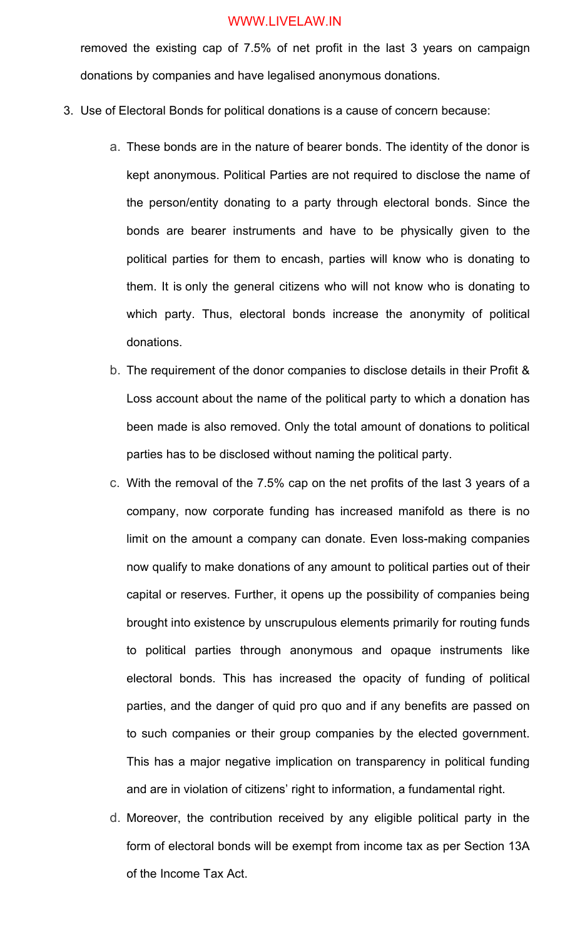removed the existing cap of 7.5% of net profit in the last 3 years on campaign donations by companies and have legalised anonymous donations.

- 3. Use of Electoral Bonds for political donations is a cause of concern because:
	- a. These bonds are in the nature of bearer bonds. The identity of the donor is kept anonymous. Political Parties are not required to disclose the name of the person/entity donating to a party through electoral bonds. Since the bonds are bearer instruments and have to be physically given to the political parties for them to encash, parties will know who is donating to them. It is only the general citizens who will not know who is donating to which party. Thus, electoral bonds increase the anonymity of political donations.
	- b. The requirement of the donor companies to disclose details in their Profit & Loss account about the name of the political party to which a donation has been made is also removed. Only the total amount of donations to political parties has to be disclosed without naming the political party.
	- c. With the removal of the 7.5% cap on the net profits of the last 3 years of a company, now corporate funding has increased manifold as there is no limit on the amount a company can donate. Even loss-making companies now qualify to make donations of any amount to political parties out of their capital or reserves. Further, it opens up the possibility of companies being brought into existence by unscrupulous elements primarily for routing funds to political parties through anonymous and opaque instruments like electoral bonds. This has increased the opacity of funding of political parties, and the danger of quid pro quo and if any benefits are passed on to such companies or their group companies by the elected government. This has a major negative implication on transparency in political funding and are in violation of citizens' right to information, a fundamental right.
	- d. Moreover, the contribution received by any eligible political party in the form of electoral bonds will be exempt from income tax as per Section 13A of the Income Tax Act.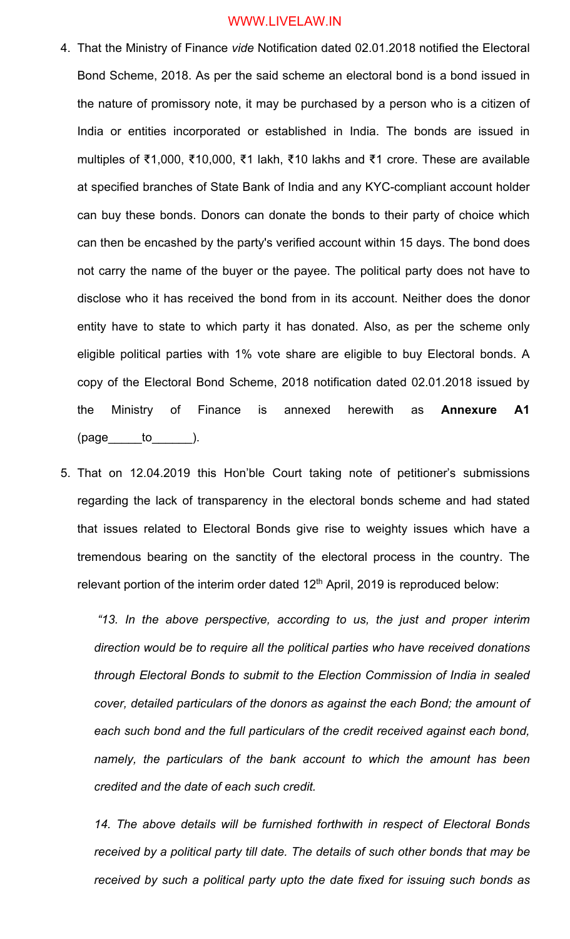- 4. That the Ministry of Finance *vide* Notification dated 02.01.2018 notified the Electoral Bond Scheme, 2018. As per the said scheme an electoral bond is a bond issued in the nature of promissory note, it may be purchased by a person who is a citizen of India or entities incorporated or established in India. The bonds are issued in multiples of ₹1,000, ₹10,000, ₹1 lakh, ₹10 lakhs and ₹1 crore. These are available at specified branches of State Bank of India and any KYC-compliant account holder can buy these bonds. Donors can donate the bonds to their party of choice which can then be encashed by the party's verified account within 15 days. The bond does not carry the name of the buyer or the payee. The political party does not have to disclose who it has received the bond from in its account. Neither does the donor entity have to state to which party it has donated. Also, as per the scheme only eligible political parties with 1% vote share are eligible to buy Electoral bonds. A copy of the Electoral Bond Scheme, 2018 notification dated 02.01.2018 issued by the Ministry of Finance is annexed herewith as **Annexure A1**   $(page \_to \_to \_).$
- 5. That on 12.04.2019 this Hon'ble Court taking note of petitioner's submissions regarding the lack of transparency in the electoral bonds scheme and had stated that issues related to Electoral Bonds give rise to weighty issues which have a tremendous bearing on the sanctity of the electoral process in the country. The relevant portion of the interim order dated  $12<sup>th</sup>$  April, 2019 is reproduced below:

*"13. In the above perspective, according to us, the just and proper interim direction would be to require all the political parties who have received donations through Electoral Bonds to submit to the Election Commission of India in sealed cover, detailed particulars of the donors as against the each Bond; the amount of each such bond and the full particulars of the credit received against each bond, namely, the particulars of the bank account to which the amount has been credited and the date of each such credit.*

*14. The above details will be furnished forthwith in respect of Electoral Bonds received by a political party till date. The details of such other bonds that may be received by such a political party upto the date fixed for issuing such bonds as*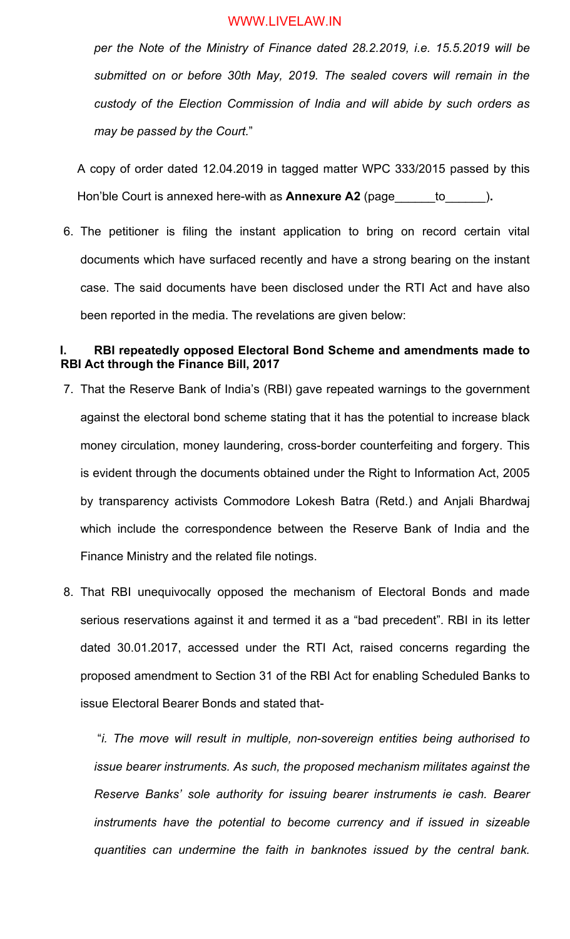*per the Note of the Ministry of Finance dated 28.2.2019, i.e. 15.5.2019 will be submitted on or before 30th May, 2019. The sealed covers will remain in the custody of the Election Commission of India and will abide by such orders as may be passed by the Court.*"

A copy of order dated 12.04.2019 in tagged matter WPC 333/2015 passed by this Hon'ble Court is annexed here-with as **Annexure A2** (page\_\_\_\_\_\_to\_\_\_\_\_\_)**.**

6. The petitioner is filing the instant application to bring on record certain vital documents which have surfaced recently and have a strong bearing on the instant case. The said documents have been disclosed under the RTI Act and have also been reported in the media. The revelations are given below:

## **I. RBI repeatedly opposed Electoral Bond Scheme and amendments made to RBI Act through the Finance Bill, 2017**

- 7. That the Reserve Bank of India's (RBI) gave repeated warnings to the government against the electoral bond scheme stating that it has the potential to increase black money circulation, money laundering, cross-border counterfeiting and forgery. This is evident through the documents obtained under the Right to Information Act, 2005 by transparency activists Commodore Lokesh Batra (Retd.) and Anjali Bhardwaj which include the correspondence between the Reserve Bank of India and the Finance Ministry and the related file notings.
- 8. That RBI unequivocally opposed the mechanism of Electoral Bonds and made serious reservations against it and termed it as a "bad precedent". RBI in its letter dated 30.01.2017, accessed under the RTI Act, raised concerns regarding the proposed amendment to Section 31 of the RBI Act for enabling Scheduled Banks to issue Electoral Bearer Bonds and stated that-

"*i. The move will result in multiple, non-sovereign entities being authorised to issue bearer instruments. As such, the proposed mechanism militates against the Reserve Banks' sole authority for issuing bearer instruments ie cash. Bearer instruments have the potential to become currency and if issued in sizeable quantities can undermine the faith in banknotes issued by the central bank.*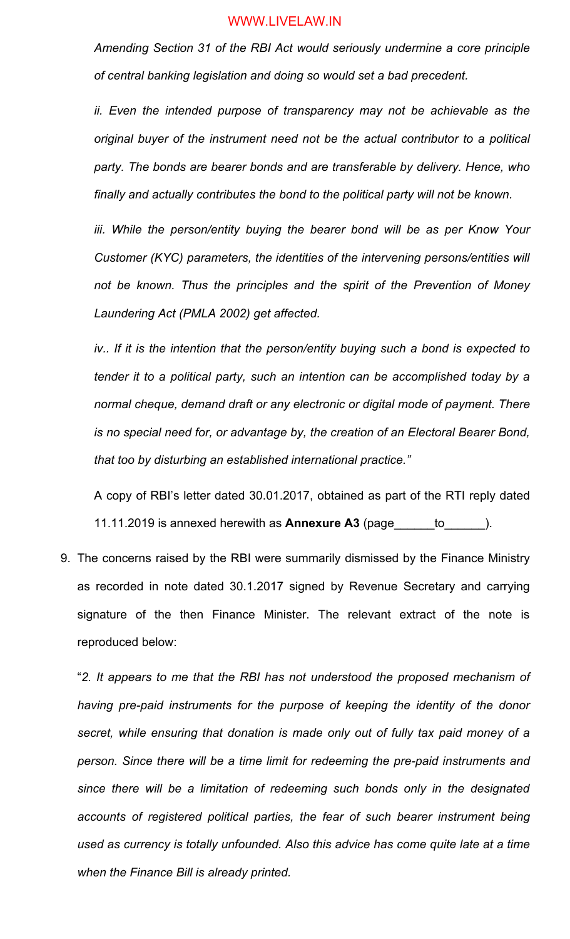*Amending Section 31 of the RBI Act would seriously undermine a core principle of central banking legislation and doing so would set a bad precedent.* 

*ii. Even the intended purpose of transparency may not be achievable as the original buyer of the instrument need not be the actual contributor to a political party. The bonds are bearer bonds and are transferable by delivery. Hence, who finally and actually contributes the bond to the political party will not be known.* 

iii. While the person/entity buying the bearer bond will be as per Know Your *Customer (KYC) parameters, the identities of the intervening persons/entities will not be known. Thus the principles and the spirit of the Prevention of Money Laundering Act (PMLA 2002) get affected.* 

*iv.. If it is the intention that the person/entity buying such a bond is expected to tender it to a political party, such an intention can be accomplished today by a normal cheque, demand draft or any electronic or digital mode of payment. There is no special need for, or advantage by, the creation of an Electoral Bearer Bond, that too by disturbing an established international practice."* 

A copy of RBI's letter dated 30.01.2017, obtained as part of the RTI reply dated 11.11.2019 is annexed herewith as **Annexure A3** (page\_\_\_\_\_\_to\_\_\_\_\_\_).

9. The concerns raised by the RBI were summarily dismissed by the Finance Ministry as recorded in note dated 30.1.2017 signed by Revenue Secretary and carrying signature of the then Finance Minister. The relevant extract of the note is reproduced below:

"*2. It appears to me that the RBI has not understood the proposed mechanism of having pre-paid instruments for the purpose of keeping the identity of the donor secret, while ensuring that donation is made only out of fully tax paid money of a person. Since there will be a time limit for redeeming the pre-paid instruments and since there will be a limitation of redeeming such bonds only in the designated*  accounts of registered political parties, the fear of such bearer instrument being *used as currency is totally unfounded. Also this advice has come quite late at a time when the Finance Bill is already printed.*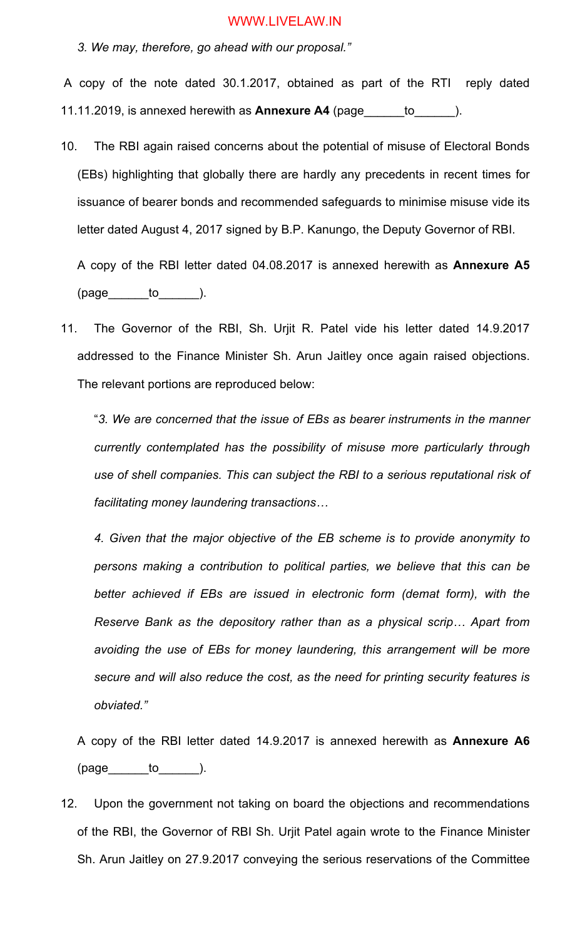*3. We may, therefore, go ahead with our proposal."*

A copy of the note dated 30.1.2017, obtained as part of the RTI reply dated 11.11.2019, is annexed herewith as **Annexure A4** (page\_\_\_\_\_\_to\_\_\_\_\_\_).

10. The RBI again raised concerns about the potential of misuse of Electoral Bonds (EBs) highlighting that globally there are hardly any precedents in recent times for issuance of bearer bonds and recommended safeguards to minimise misuse vide its letter dated August 4, 2017 signed by B.P. Kanungo, the Deputy Governor of RBI.

A copy of the RBI letter dated 04.08.2017 is annexed herewith as **Annexure A5**  $(page$  to  $)$ .

11. The Governor of the RBI, Sh. Urjit R. Patel vide his letter dated 14.9.2017 addressed to the Finance Minister Sh. Arun Jaitley once again raised objections. The relevant portions are reproduced below:

"*3. We are concerned that the issue of EBs as bearer instruments in the manner currently contemplated has the possibility of misuse more particularly through use of shell companies. This can subject the RBI to a serious reputational risk of facilitating money laundering transactions…*

*4. Given that the major objective of the EB scheme is to provide anonymity to persons making a contribution to political parties, we believe that this can be better achieved if EBs are issued in electronic form (demat form), with the Reserve Bank as the depository rather than as a physical scrip… Apart from avoiding the use of EBs for money laundering, this arrangement will be more secure and will also reduce the cost, as the need for printing security features is obviated."*

A copy of the RBI letter dated 14.9.2017 is annexed herewith as **Annexure A6**  $(page \_ to \_).$ 

12. Upon the government not taking on board the objections and recommendations of the RBI, the Governor of RBI Sh. Urjit Patel again wrote to the Finance Minister Sh. Arun Jaitley on 27.9.2017 conveying the serious reservations of the Committee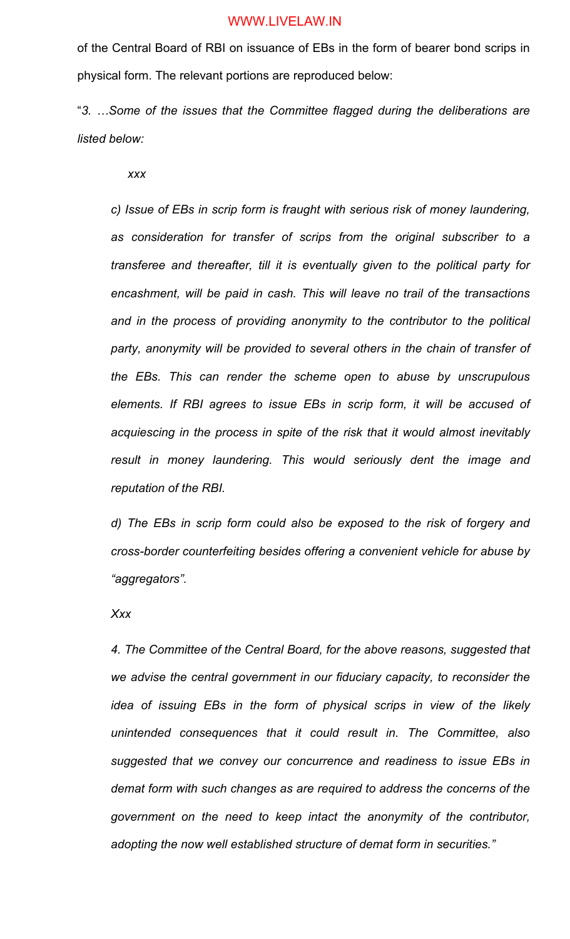of the Central Board of RBI on issuance of EBs in the form of bearer bond scrips in physical form. The relevant portions are reproduced below:

"*3. …Some of the issues that the Committee flagged during the deliberations are listed below:*

*xxx*

*c) Issue of EBs in scrip form is fraught with serious risk of money laundering, as consideration for transfer of scrips from the original subscriber to a transferee and thereafter, till it is eventually given to the political party for encashment, will be paid in cash. This will leave no trail of the transactions and in the process of providing anonymity to the contributor to the political*  party, anonymity will be provided to several others in the chain of transfer of *the EBs. This can render the scheme open to abuse by unscrupulous elements. If RBI agrees to issue EBs in scrip form, it will be accused of acquiescing in the process in spite of the risk that it would almost inevitably result in money laundering. This would seriously dent the image and reputation of the RBI.*

*d) The EBs in scrip form could also be exposed to the risk of forgery and cross-border counterfeiting besides offering a convenient vehicle for abuse by "aggregators".* 

*Xxx*

*4. The Committee of the Central Board, for the above reasons, suggested that we advise the central government in our fiduciary capacity, to reconsider the idea of issuing EBs in the form of physical scrips in view of the likely unintended consequences that it could result in. The Committee, also suggested that we convey our concurrence and readiness to issue EBs in demat form with such changes as are required to address the concerns of the government on the need to keep intact the anonymity of the contributor, adopting the now well established structure of demat form in securities."*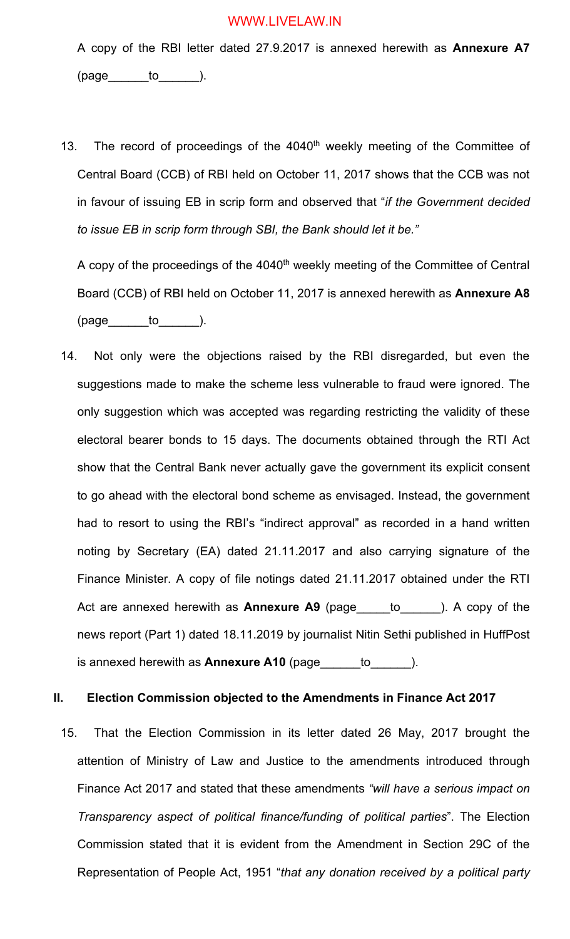A copy of the RBI letter dated 27.9.2017 is annexed herewith as **Annexure A7**  $(page$  to  $)$ .

13. The record of proceedings of the 4040<sup>th</sup> weekly meeting of the Committee of Central Board (CCB) of RBI held on October 11, 2017 shows that the CCB was not in favour of issuing EB in scrip form and observed that "*if the Government decided to issue EB in scrip form through SBI, the Bank should let it be."*

A copy of the proceedings of the 4040<sup>th</sup> weekly meeting of the Committee of Central Board (CCB) of RBI held on October 11, 2017 is annexed herewith as **Annexure A8**  $(page \qquad to \qquad).$ 

14. Not only were the objections raised by the RBI disregarded, but even the suggestions made to make the scheme less vulnerable to fraud were ignored. The only suggestion which was accepted was regarding restricting the validity of these electoral bearer bonds to 15 days. The documents obtained through the RTI Act show that the Central Bank never actually gave the government its explicit consent to go ahead with the electoral bond scheme as envisaged. Instead, the government had to resort to using the RBI's "indirect approval" as recorded in a hand written noting by Secretary (EA) dated 21.11.2017 and also carrying signature of the Finance Minister. A copy of file notings dated 21.11.2017 obtained under the RTI Act are annexed herewith as **Annexure A9** (page\_\_\_\_\_to\_\_\_\_\_\_). A copy of the news report (Part 1) dated 18.11.2019 by journalist Nitin Sethi published in HuffPost is annexed herewith as **Annexure A10** (page\_\_\_\_\_\_to\_\_\_\_\_\_).

## **II. Election Commission objected to the Amendments in Finance Act 2017**

15. That the Election Commission in its letter dated 26 May, 2017 brought the attention of Ministry of Law and Justice to the amendments introduced through Finance Act 2017 and stated that these amendments *"will have a serious impact on Transparency aspect of political finance/funding of political parties*". The Election Commission stated that it is evident from the Amendment in Section 29C of the Representation of People Act, 1951 "*that any donation received by a political party*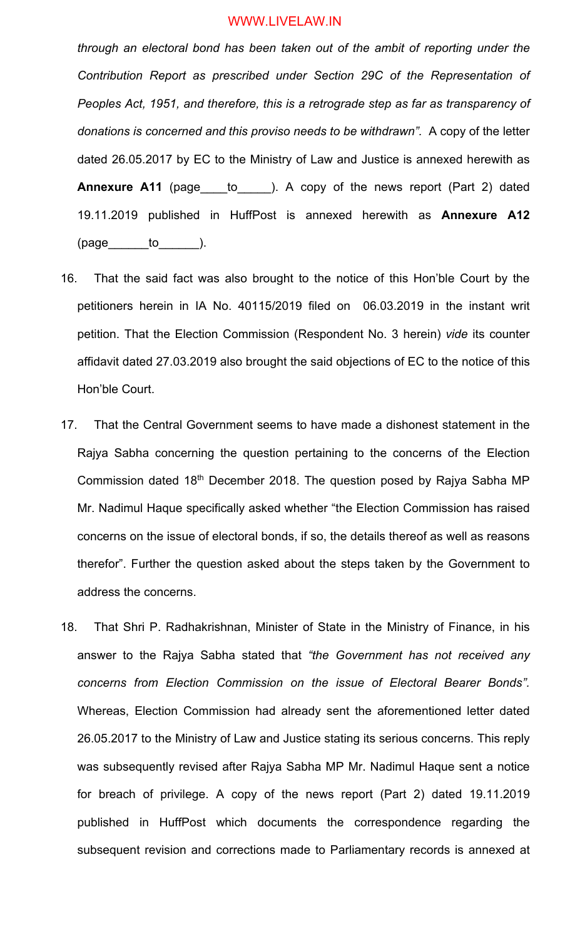*through an electoral bond has been taken out of the ambit of reporting under the Contribution Report as prescribed under Section 29C of the Representation of Peoples Act, 1951, and therefore, this is a retrograde step as far as transparency of donations is concerned and this proviso needs to be withdrawn".* A copy of the letter dated 26.05.2017 by EC to the Ministry of Law and Justice is annexed herewith as **Annexure A11** (page to ). A copy of the news report (Part 2) dated 19.11.2019 published in HuffPost is annexed herewith as **Annexure A12**  $(page$  to  $)$ .

- 16. That the said fact was also brought to the notice of this Hon'ble Court by the petitioners herein in IA No. 40115/2019 filed on 06.03.2019 in the instant writ petition. That the Election Commission (Respondent No. 3 herein) *vide* its counter affidavit dated 27.03.2019 also brought the said objections of EC to the notice of this Hon'ble Court.
- 17. That the Central Government seems to have made a dishonest statement in the Rajya Sabha concerning the question pertaining to the concerns of the Election Commission dated 18th December 2018. The question posed by Rajya Sabha MP Mr. Nadimul Haque specifically asked whether "the Election Commission has raised concerns on the issue of electoral bonds, if so, the details thereof as well as reasons therefor". Further the question asked about the steps taken by the Government to address the concerns.
- 18. That Shri P. Radhakrishnan, Minister of State in the Ministry of Finance, in his answer to the Rajya Sabha stated that *"the Government has not received any concerns from Election Commission on the issue of Electoral Bearer Bonds".*  Whereas, Election Commission had already sent the aforementioned letter dated 26.05.2017 to the Ministry of Law and Justice stating its serious concerns. This reply was subsequently revised after Rajya Sabha MP Mr. Nadimul Haque sent a notice for breach of privilege. A copy of the news report (Part 2) dated 19.11.2019 published in HuffPost which documents the correspondence regarding the subsequent revision and corrections made to Parliamentary records is annexed at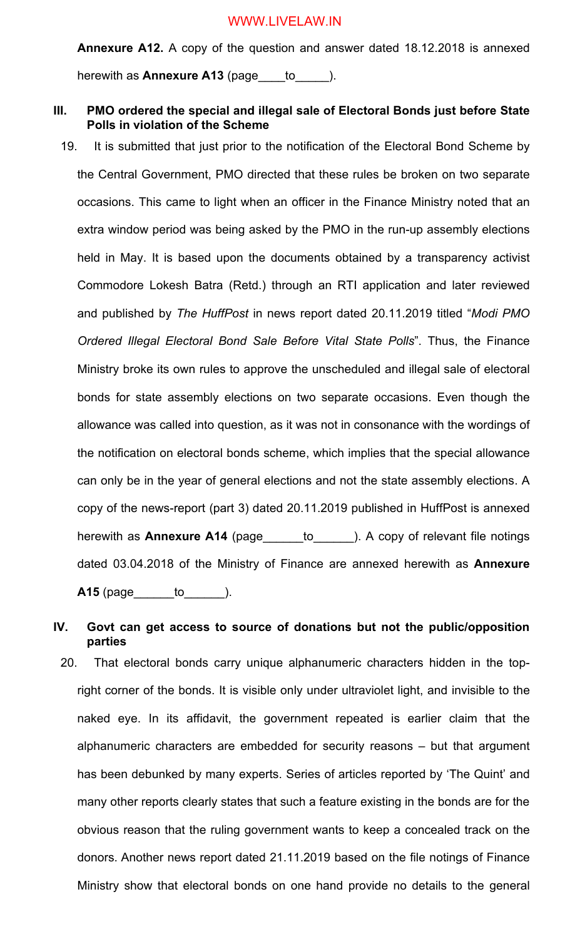**Annexure A12.** A copy of the question and answer dated 18.12.2018 is annexed herewith as **Annexure A13** (page to  $\qquad$  ).

## **III. PMO ordered the special and illegal sale of Electoral Bonds just before State Polls in violation of the Scheme**

19. It is submitted that just prior to the notification of the Electoral Bond Scheme by the Central Government, PMO directed that these rules be broken on two separate occasions. This came to light when an officer in the Finance Ministry noted that an extra window period was being asked by the PMO in the run-up assembly elections held in May. It is based upon the documents obtained by a transparency activist Commodore Lokesh Batra (Retd.) through an RTI application and later reviewed and published by *The HuffPost* in news report dated 20.11.2019 titled "*Modi PMO Ordered Illegal Electoral Bond Sale Before Vital State Polls*". Thus, the Finance Ministry broke its own rules to approve the unscheduled and illegal sale of electoral bonds for state assembly elections on two separate occasions. Even though the allowance was called into question, as it was not in consonance with the wordings of the notification on electoral bonds scheme, which implies that the special allowance can only be in the year of general elections and not the state assembly elections. A copy of the news-report (part 3) dated 20.11.2019 published in HuffPost is annexed herewith as **Annexure A14** (page\_\_\_\_\_\_to\_\_\_\_\_\_). A copy of relevant file notings dated 03.04.2018 of the Ministry of Finance are annexed herewith as **Annexure A15** (page to to the set of the set of the set of the set of the set of the set of the set of the set of the set of the set of the set of the set of the set of the set of the set of the set of the set of the set of the se

## **IV. Govt can get access to source of donations but not the public/opposition parties**

20. That electoral bonds carry unique alphanumeric characters hidden in the topright corner of the bonds. It is visible only under ultraviolet light, and invisible to the naked eye. In its affidavit, the government repeated is earlier claim that the alphanumeric characters are embedded for security reasons – but that argument has been debunked by many experts. Series of articles reported by 'The Quint' and many other reports clearly states that such a feature existing in the bonds are for the obvious reason that the ruling government wants to keep a concealed track on the donors. Another news report dated 21.11.2019 based on the file notings of Finance Ministry show that electoral bonds on one hand provide no details to the general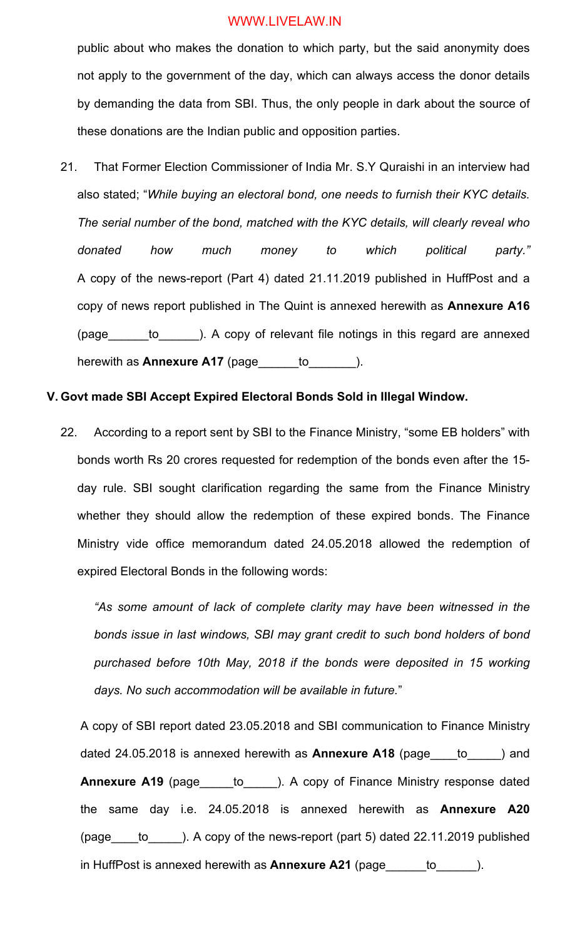public about who makes the donation to which party, but the said anonymity does not apply to the government of the day, which can always access the donor details by demanding the data from SBI. Thus, the only people in dark about the source of these donations are the Indian public and opposition parties.

21. That Former Election Commissioner of India Mr. S.Y Quraishi in an interview had also stated; "*While buying an electoral bond, one needs to furnish their KYC details. The serial number of the bond, matched with the KYC details, will clearly reveal who donated how much money to which political party."* A copy of the news-report (Part 4) dated 21.11.2019 published in HuffPost and a copy of news report published in The Quint is annexed herewith as **Annexure A16** (page\_\_\_\_\_\_to\_\_\_\_\_\_). A copy of relevant file notings in this regard are annexed herewith as **Annexure A17** (page\_\_\_\_\_to\_\_\_\_\_\_\_).

#### **V. Govt made SBI Accept Expired Electoral Bonds Sold in Illegal Window.**

22. According to a report sent by SBI to the Finance Ministry, "some EB holders" with bonds worth Rs 20 crores requested for redemption of the bonds even after the 15 day rule. SBI sought clarification regarding the same from the Finance Ministry whether they should allow the redemption of these expired bonds. The Finance Ministry vide office memorandum dated 24.05.2018 allowed the redemption of expired Electoral Bonds in the following words:

*"As some amount of lack of complete clarity may have been witnessed in the bonds issue in last windows, SBI may grant credit to such bond holders of bond purchased before 10th May, 2018 if the bonds were deposited in 15 working days. No such accommodation will be available in future.*"

A copy of SBI report dated 23.05.2018 and SBI communication to Finance Ministry dated 24.05.2018 is annexed herewith as **Annexure A18** (page\_\_\_\_to\_\_\_\_\_) and **Annexure A19** (page to ). A copy of Finance Ministry response dated the same day i.e. 24.05.2018 is annexed herewith as **Annexure A20** (page\_\_\_\_to\_\_\_\_\_). A copy of the news-report (part 5) dated 22.11.2019 published in HuffPost is annexed herewith as **Annexure A21** (page\_\_\_\_\_\_to\_\_\_\_\_\_).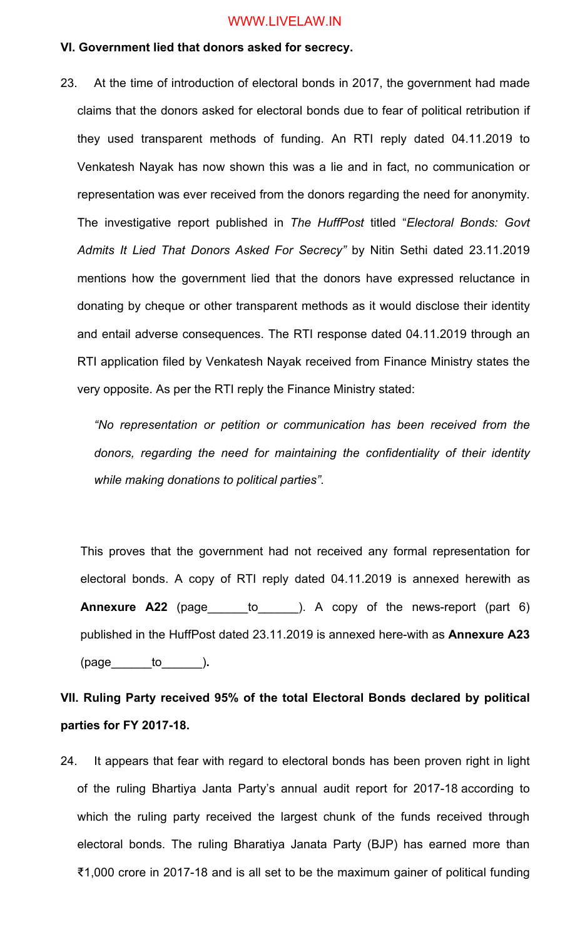## **VI. Government lied that donors asked for secrecy.**

23. At the time of introduction of electoral bonds in 2017, the government had made claims that the donors asked for electoral bonds due to fear of political retribution if they used transparent methods of funding. An RTI reply dated 04.11.2019 to Venkatesh Nayak has now shown this was a lie and in fact, no communication or representation was ever received from the donors regarding the need for anonymity. The investigative report published in *The HuffPost* titled "*Electoral Bonds: Govt Admits It Lied That Donors Asked For Secrecy"* by Nitin Sethi dated 23.11.2019 mentions how the government lied that the donors have expressed reluctance in donating by cheque or other transparent methods as it would disclose their identity and entail adverse consequences. The RTI response dated 04.11.2019 through an RTI application filed by Venkatesh Nayak received from Finance Ministry states the very opposite. As per the RTI reply the Finance Ministry stated:

*"No representation or petition or communication has been received from the donors, regarding the need for maintaining the confidentiality of their identity while making donations to political parties".*

This proves that the government had not received any formal representation for electoral bonds. A copy of RTI reply dated 04.11.2019 is annexed herewith as **Annexure A22** (page\_\_\_\_\_\_to\_\_\_\_\_\_). A copy of the news-report (part 6) published in the HuffPost dated 23.11.2019 is annexed here-with as **Annexure A23** (page\_\_\_\_\_\_to\_\_\_\_\_\_)**.**

# **VII. Ruling Party received 95% of the total Electoral Bonds declared by political parties for FY 2017-18.**

24. It appears that fear with regard to electoral bonds has been proven right in light of the ruling Bhartiya Janta Party's annual audit report for 2017-18 according to which the ruling party received the largest chunk of the funds received through electoral bonds. The ruling Bharatiya Janata Party (BJP) has earned more than ₹1,000 crore in 2017-18 and is all set to be the maximum gainer of political funding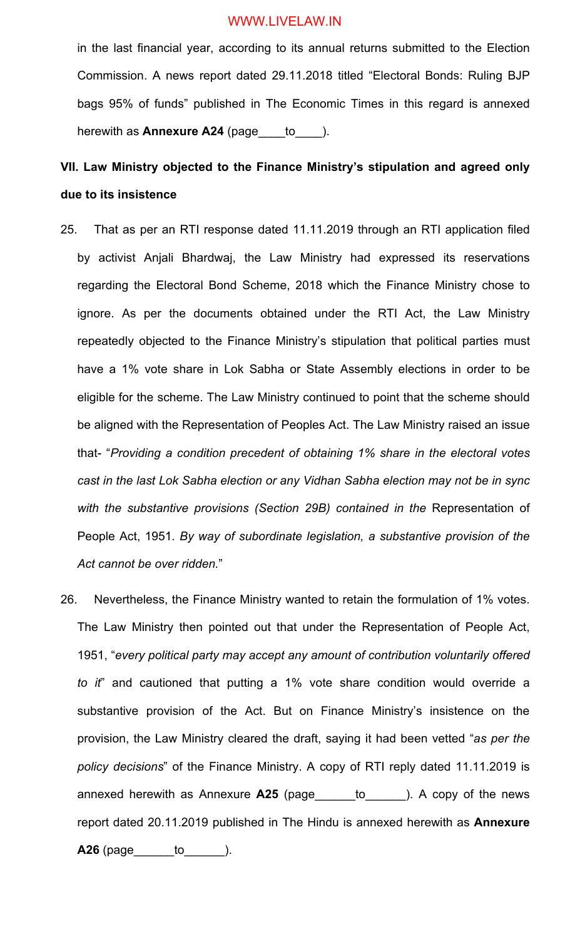in the last financial year, according to its annual returns submitted to the Election Commission. A news report dated 29.11.2018 titled "Electoral Bonds: Ruling BJP bags 95% of funds" published in The Economic Times in this regard is annexed herewith as **Annexure A24** (page\_\_\_\_to\_\_\_\_).

# **VII. Law Ministry objected to the Finance Ministry's stipulation and agreed only due to its insistence**

- 25. That as per an RTI response dated 11.11.2019 through an RTI application filed by activist Anjali Bhardwaj, the Law Ministry had expressed its reservations regarding the Electoral Bond Scheme, 2018 which the Finance Ministry chose to ignore. As per the documents obtained under the RTI Act, the Law Ministry repeatedly objected to the Finance Ministry's stipulation that political parties must have a 1% vote share in Lok Sabha or State Assembly elections in order to be eligible for the scheme. The Law Ministry continued to point that the scheme should be aligned with the Representation of Peoples Act. The Law Ministry raised an issue that- "*Providing a condition precedent of obtaining 1% share in the electoral votes cast in the last Lok Sabha election or any Vidhan Sabha election may not be in sync*  with the substantive provisions (Section 29B) contained in the Representation of People Act, 1951*. By way of subordinate legislation, a substantive provision of the Act cannot be over ridden.*"
- 26. Nevertheless, the Finance Ministry wanted to retain the formulation of 1% votes. The Law Ministry then pointed out that under the Representation of People Act, 1951, "*every political party may accept any amount of contribution voluntarily offered to it*" and cautioned that putting a 1% vote share condition would override a substantive provision of the Act. But on Finance Ministry's insistence on the provision, the Law Ministry cleared the draft, saying it had been vetted "*as per the policy decisions*" of the Finance Ministry. A copy of RTI reply dated 11.11.2019 is annexed herewith as Annexure **A25** (page\_\_\_\_\_\_to\_\_\_\_\_\_). A copy of the news report dated 20.11.2019 published in The Hindu is annexed herewith as **Annexure A26** (page\_\_\_\_\_\_to\_\_\_\_\_\_).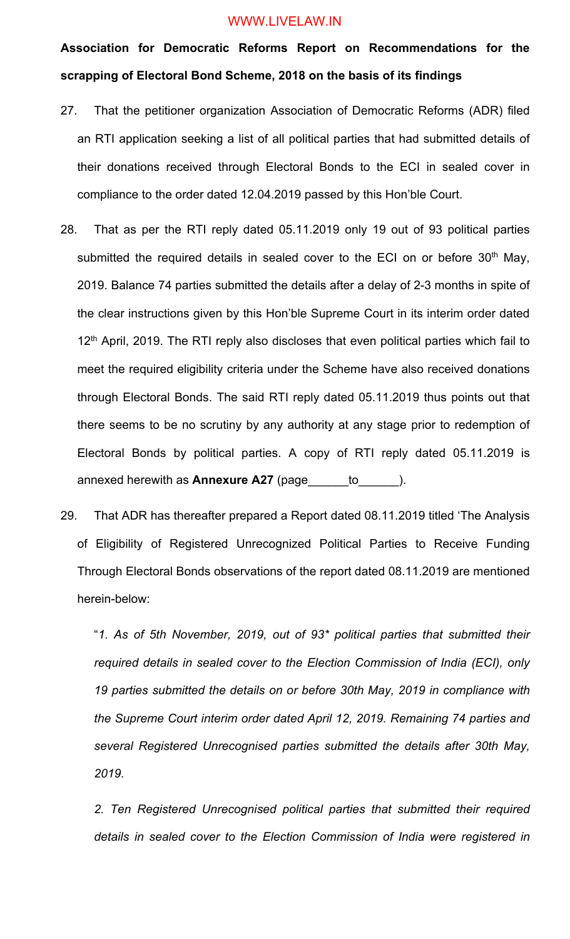**Association for Democratic Reforms Report on Recommendations for the scrapping of Electoral Bond Scheme, 2018 on the basis of its findings**

- 27. That the petitioner organization Association of Democratic Reforms (ADR) filed an RTI application seeking a list of all political parties that had submitted details of their donations received through Electoral Bonds to the ECI in sealed cover in compliance to the order dated 12.04.2019 passed by this Hon'ble Court.
- 28. That as per the RTI reply dated 05.11.2019 only 19 out of 93 political parties submitted the required details in sealed cover to the ECI on or before 30<sup>th</sup> May, 2019. Balance 74 parties submitted the details after a delay of 2-3 months in spite of the clear instructions given by this Hon'ble Supreme Court in its interim order dated  $12<sup>th</sup>$  April, 2019. The RTI reply also discloses that even political parties which fail to meet the required eligibility criteria under the Scheme have also received donations through Electoral Bonds. The said RTI reply dated 05.11.2019 thus points out that there seems to be no scrutiny by any authority at any stage prior to redemption of Electoral Bonds by political parties. A copy of RTI reply dated 05.11.2019 is annexed herewith as **Annexure A27** (page to the same of the same of the same of the same of the same of the same of the same of the same of the same of the same of the same of the same of the same of the same of the same o
- 29. That ADR has thereafter prepared a Report dated 08.11.2019 titled 'The Analysis of Eligibility of Registered Unrecognized Political Parties to Receive Funding Through Electoral Bonds observations of the report dated 08.11.2019 are mentioned herein-below:

"*1. As of 5th November, 2019, out of 93\* political parties that submitted their required details in sealed cover to the Election Commission of India (ECI), only 19 parties submitted the details on or before 30th May, 2019 in compliance with the Supreme Court interim order dated April 12, 2019. Remaining 74 parties and several Registered Unrecognised parties submitted the details after 30th May, 2019.*

*2. Ten Registered Unrecognised political parties that submitted their required details in sealed cover to the Election Commission of India were registered in*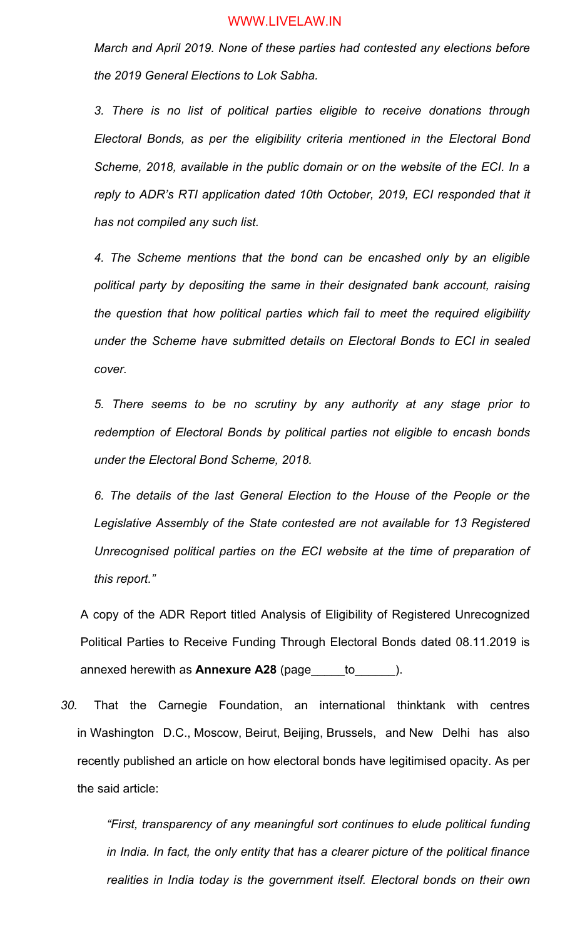*March and April 2019. None of these parties had contested any elections before the 2019 General Elections to Lok Sabha.*

*3. There is no list of political parties eligible to receive donations through Electoral Bonds, as per the eligibility criteria mentioned in the Electoral Bond Scheme, 2018, available in the public domain or on the website of the ECI. In a reply to ADR's RTI application dated 10th October, 2019, ECI responded that it has not compiled any such list.*

*4. The Scheme mentions that the bond can be encashed only by an eligible political party by depositing the same in their designated bank account, raising the question that how political parties which fail to meet the required eligibility under the Scheme have submitted details on Electoral Bonds to ECI in sealed cover.*

*5. There seems to be no scrutiny by any authority at any stage prior to redemption of Electoral Bonds by political parties not eligible to encash bonds under the Electoral Bond Scheme, 2018.*

*6. The details of the last General Election to the House of the People or the Legislative Assembly of the State contested are not available for 13 Registered Unrecognised political parties on the ECI website at the time of preparation of this report."*

A copy of the ADR Report titled Analysis of Eligibility of Registered Unrecognized Political Parties to Receive Funding Through Electoral Bonds dated 08.11.2019 is annexed herewith as **Annexure A28** (page\_\_\_\_\_to\_\_\_\_\_\_).

*30.* That the Carnegie Foundation, an international thinktank with centres in Washington D.C., Moscow, Beirut, Beijing, Brussels, and New Delhi has also recently published an article on how electoral bonds have legitimised opacity. As per the said article:

*"First, transparency of any meaningful sort continues to elude political funding in India. In fact, the only entity that has a clearer picture of the political finance realities in India today is the government itself. Electoral bonds on their own*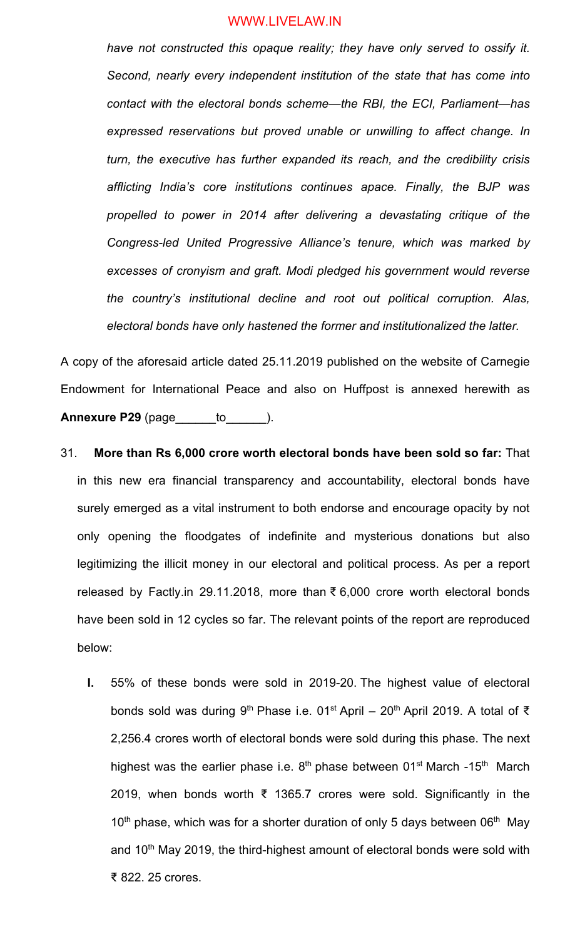*have not constructed this opaque reality; they have only served to ossify it. Second, nearly every independent institution of the state that has come into contact with the electoral bonds scheme—the RBI, the ECI, Parliament—has expressed reservations but proved unable or unwilling to affect change. In turn, the executive has further expanded its reach, and the credibility crisis afflicting India's core institutions continues apace. Finally, the BJP was propelled to power in 2014 after delivering a devastating critique of the Congress-led United Progressive Alliance's tenure, which was marked by excesses of cronyism and graft. Modi pledged his government would reverse the country's institutional decline and root out political corruption. Alas, electoral bonds have only hastened the former and institutionalized the latter.*

A copy of the aforesaid article dated 25.11.2019 published on the website of Carnegie Endowment for International Peace and also on Huffpost is annexed herewith as **Annexure P29** (page to to the set of the set of the set of the set of the set of the set of the set of the set o

- 31. **More than Rs 6,000 crore worth electoral bonds have been sold so far:** That in this new era financial transparency and accountability, electoral bonds have surely emerged as a vital instrument to both endorse and encourage opacity by not only opening the floodgates of indefinite and mysterious donations but also legitimizing the illicit money in our electoral and political process. As per a report released by Factly.in 29.11.2018, more than ₹ 6,000 crore worth electoral bonds have been sold in 12 cycles so far. The relevant points of the report are reproduced below:
	- **I.** 55% of these bonds were sold in 2019-20. The highest value of electoral bonds sold was during 9<sup>th</sup> Phase i.e. 01<sup>st</sup> April – 20<sup>th</sup> April 2019. A total of ₹ 2,256.4 crores worth of electoral bonds were sold during this phase. The next highest was the earlier phase i.e.  $8<sup>th</sup>$  phase between 01<sup>st</sup> March -15<sup>th</sup> March 2019, when bonds worth ₹ 1365.7 crores were sold. Significantly in the  $10<sup>th</sup>$  phase, which was for a shorter duration of only 5 days between  $06<sup>th</sup>$  May and 10<sup>th</sup> May 2019, the third-highest amount of electoral bonds were sold with ₹ 822. 25 crores.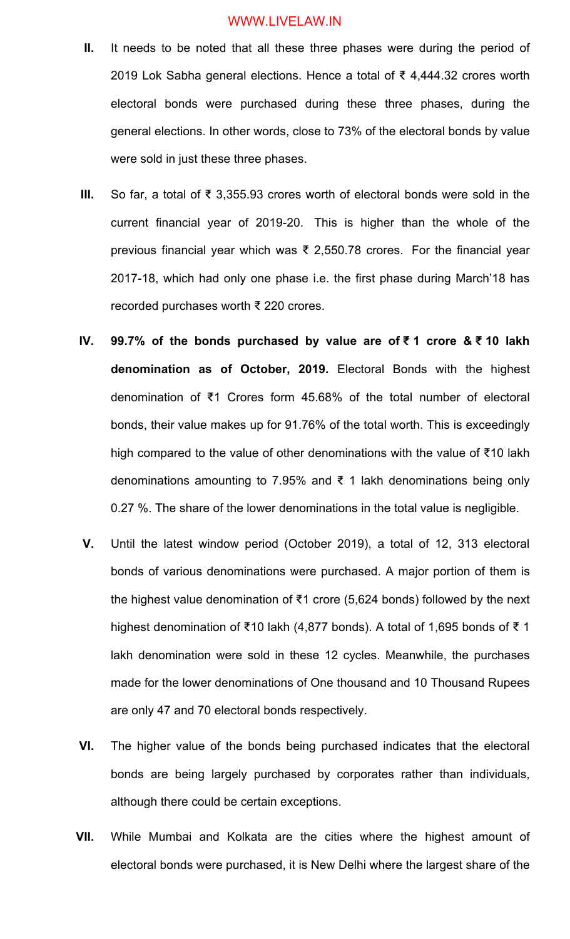- **II.** It needs to be noted that all these three phases were during the period of 2019 Lok Sabha general elections. Hence a total of ₹ 4,444.32 crores worth electoral bonds were purchased during these three phases, during the general elections. In other words, close to 73% of the electoral bonds by value were sold in just these three phases.
- **III.** So far, a total of ₹ 3,355.93 crores worth of electoral bonds were sold in the current financial year of 2019-20. This is higher than the whole of the previous financial year which was ₹ 2,550.78 crores. For the financial year 2017-18, which had only one phase i.e. the first phase during March'18 has recorded purchases worth ₹ 220 crores.
- **IV. 99.7% of the bonds purchased by value are of ₹ 1 crore & ₹ 10 lakh denomination as of October, 2019.** Electoral Bonds with the highest denomination of ₹1 Crores form 45.68% of the total number of electoral bonds, their value makes up for 91.76% of the total worth. This is exceedingly high compared to the value of other denominations with the value of ₹10 lakh denominations amounting to 7.95% and ₹ 1 lakh denominations being only 0.27 %. The share of the lower denominations in the total value is negligible.
- **V.** Until the latest window period (October 2019), a total of 12, 313 electoral bonds of various denominations were purchased. A major portion of them is the highest value denomination of ₹1 crore (5,624 bonds) followed by the next highest denomination of ₹10 lakh (4,877 bonds). A total of 1,695 bonds of ₹ 1 lakh denomination were sold in these 12 cycles. Meanwhile, the purchases made for the lower denominations of One thousand and 10 Thousand Rupees are only 47 and 70 electoral bonds respectively.
- **VI.** The higher value of the bonds being purchased indicates that the electoral bonds are being largely purchased by corporates rather than individuals, although there could be certain exceptions.
- **VII.** While Mumbai and Kolkata are the cities where the highest amount of electoral bonds were purchased, it is New Delhi where the largest share of the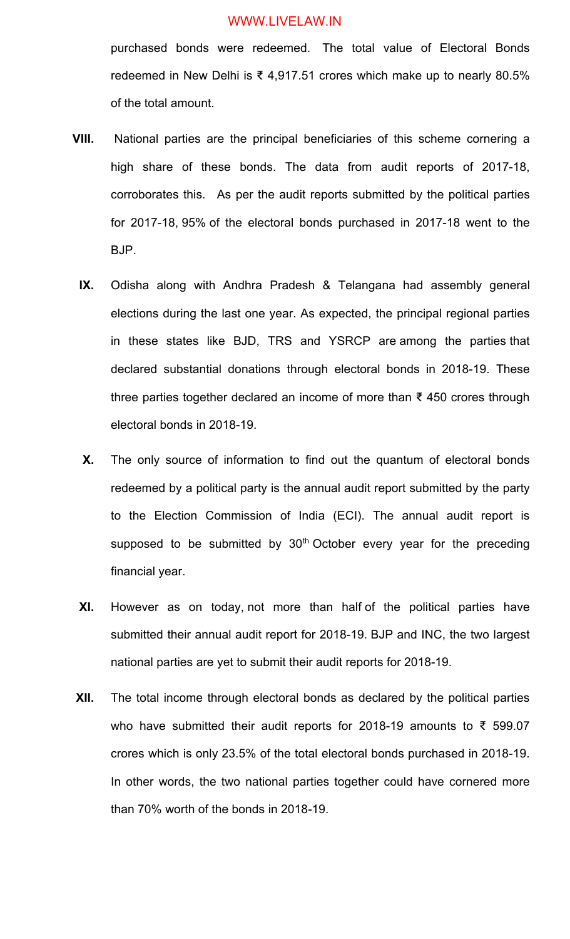purchased bonds were redeemed. The total value of Electoral Bonds redeemed in New Delhi is ₹ 4,917.51 crores which make up to nearly 80.5% of the total amount.

- **VIII.** National parties are the principal beneficiaries of this scheme cornering a high share of these bonds. The data from audit reports of 2017-18, corroborates this. As per the audit reports submitted by the political parties for 2017-18, 95% of the electoral bonds purchased in 2017-18 went to the BJP.
- **IX.** Odisha along with Andhra Pradesh & Telangana had assembly general elections during the last one year. As expected, the principal regional parties in these states like BJD, TRS and YSRCP are among the parties that declared substantial donations through electoral bonds in 2018-19. These three parties together declared an income of more than ₹ 450 crores through electoral bonds in 2018-19.
- **X.** The only source of information to find out the quantum of electoral bonds redeemed by a political party is the annual audit report submitted by the party to the Election Commission of India (ECI). The annual audit report is supposed to be submitted by  $30<sup>th</sup>$  October every year for the preceding financial year.
- **XI.** However as on today, not more than half of the political parties have submitted their annual audit report for 2018-19. BJP and INC, the two largest national parties are yet to submit their audit reports for 2018-19.
- **XII.** The total income through electoral bonds as declared by the political parties who have submitted their audit reports for 2018-19 amounts to ₹ 599.07 crores which is only 23.5% of the total electoral bonds purchased in 2018-19. In other words, the two national parties together could have cornered more than 70% worth of the bonds in 2018-19.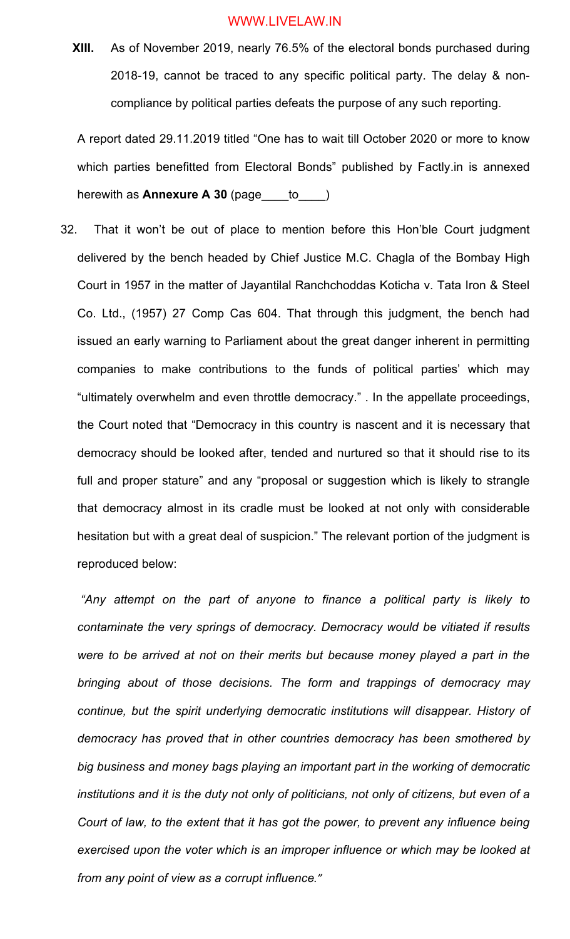**XIII.** As of November 2019, nearly 76.5% of the electoral bonds purchased during 2018-19, cannot be traced to any specific political party. The delay & noncompliance by political parties defeats the purpose of any such reporting.

A report dated 29.11.2019 titled "One has to wait till October 2020 or more to know which parties benefitted from Electoral Bonds" published by Factly.in is annexed herewith as **Annexure A 30** (page\_\_\_\_to\_\_\_\_)

32. That it won't be out of place to mention before this Hon'ble Court judgment delivered by the bench headed by Chief Justice M.C. Chagla of the Bombay High Court in 1957 in the matter of Jayantilal Ranchchoddas Koticha v. Tata Iron & Steel Co. Ltd., (1957) 27 Comp Cas 604. That through this judgment, the bench had issued an early warning to Parliament about the great danger inherent in permitting companies to make contributions to the funds of political parties' which may "ultimately overwhelm and even throttle democracy." . In the appellate proceedings, the Court noted that "Democracy in this country is nascent and it is necessary that democracy should be looked after, tended and nurtured so that it should rise to its full and proper stature" and any "proposal or suggestion which is likely to strangle that democracy almost in its cradle must be looked at not only with considerable hesitation but with a great deal of suspicion." The relevant portion of the judgment is reproduced below:

*"Any attempt on the part of anyone to finance a political party is likely to contaminate the very springs of democracy. Democracy would be vitiated if results were to be arrived at not on their merits but because money played a part in the bringing about of those decisions. The form and trappings of democracy may continue, but the spirit underlying democratic institutions will disappear. History of democracy has proved that in other countries democracy has been smothered by big business and money bags playing an important part in the working of democratic institutions and it is the duty not only of politicians, not only of citizens, but even of a Court of law, to the extent that it has got the power, to prevent any influence being*  exercised upon the voter which is an improper influence or which may be looked at *from any point of view as a corrupt influence."*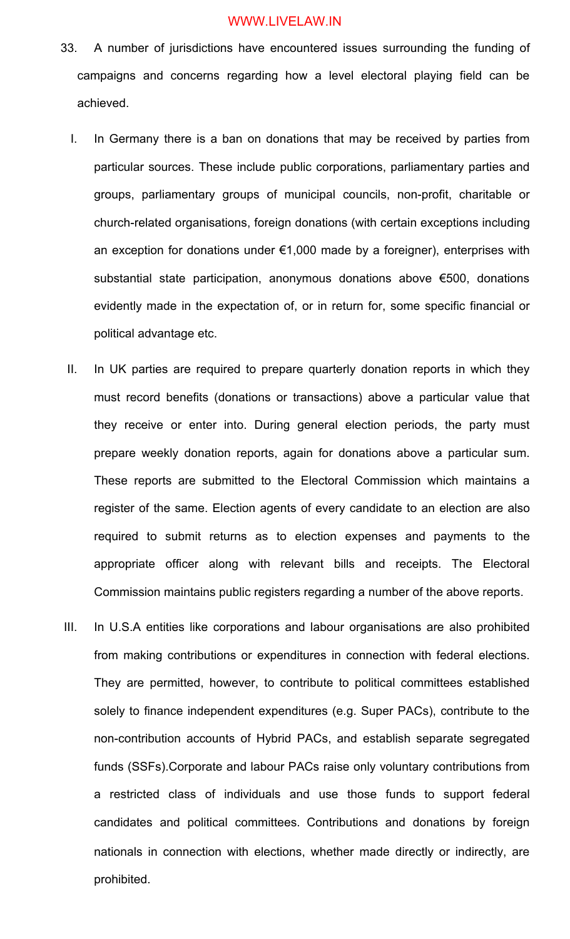- 33. A number of jurisdictions have encountered issues surrounding the funding of campaigns and concerns regarding how a level electoral playing field can be achieved.
	- I. In Germany there is a ban on donations that may be received by parties from particular sources. These include public corporations, parliamentary parties and groups, parliamentary groups of municipal councils, non-profit, charitable or church-related organisations, foreign donations (with certain exceptions including an exception for donations under €1,000 made by a foreigner), enterprises with substantial state participation, anonymous donations above €500, donations evidently made in the expectation of, or in return for, some specific financial or political advantage etc.
	- II. In UK parties are required to prepare quarterly donation reports in which they must record benefits (donations or transactions) above a particular value that they receive or enter into. During general election periods, the party must prepare weekly donation reports, again for donations above a particular sum. These reports are submitted to the Electoral Commission which maintains a register of the same. Election agents of every candidate to an election are also required to submit returns as to election expenses and payments to the appropriate officer along with relevant bills and receipts. The Electoral Commission maintains public registers regarding a number of the above reports.
- III. In U.S.A entities like corporations and labour organisations are also prohibited from making contributions or expenditures in connection with federal elections. They are permitted, however, to contribute to political committees established solely to finance independent expenditures (e.g. Super PACs), contribute to the non-contribution accounts of Hybrid PACs, and establish separate segregated funds (SSFs).Corporate and labour PACs raise only voluntary contributions from a restricted class of individuals and use those funds to support federal candidates and political committees. Contributions and donations by foreign nationals in connection with elections, whether made directly or indirectly, are prohibited.